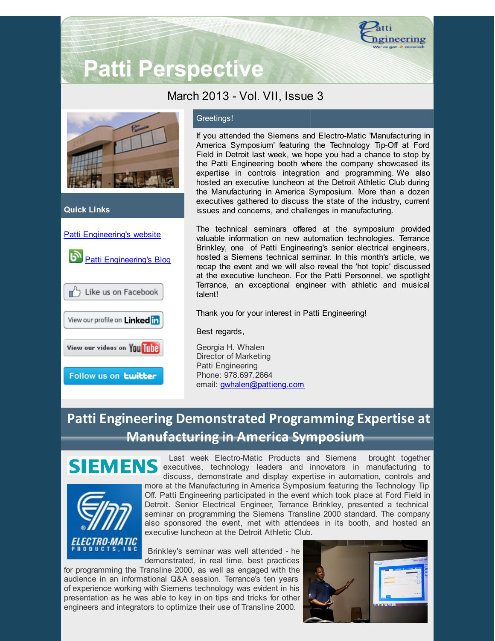

# **Patti Perspective**

### March 2013 - Vol. VII, Issue 3



#### **Quick Links**



#### Greetings!

If you attended the Siemens and Electro-Matic 'Manufacturing in America Symposium' featuring the Technology Tip-Off at Ford Field in Detroit last week, we hope you had a chance to stop by the Patti Engineering booth where the company showcased its expertise in controls integration and programming. We also hosted an executive luncheon at the Detroit Athletic Club during the Manufacturing in America Symposium. More than a dozen executives gathered to discuss the state of the industry, current issues and concerns, and challenges in manufacturing.

The technical seminars offered at the symposium provided valuable information on new automation technologies. Terrance Brinkley, one of Patti Engineering's senior electrical engineers, hosted a Siemens technical seminar. In this month's article, we recap the event and we will also reveal the 'hot topic' discussed at the executive luncheon. For the Patti Personnel, we spotlight Terrance, an exceptional engineer with athletic and musical talent!

Thank you for your interest in Patti Engineering!

Best regards,

Georgia H. Whalen Director of Marketing Patti Engineering Phone: 978.697.2664 email: [gwhalen@pattieng.com](mailto:gwhalen@pattieng.com)

## **Patti Engineering Demonstrated Programming Expertise at Manufacturing in America Symposium**





Last week Electro-Matic Products and Siemens brought together SIEMENS executives, technology leaders and innovators in manufacturing to discuss, demonstrate and display expertise in automation, controls and more at the Manufacturing in America Symposium featuring the Technology Tip Off. Patti Engineering participated in the event which took place at Ford Field in Detroit. Senior Electrical Engineer, Terrance Brinkley, presented a technical seminar on programming the Siemens Transline 2000 standard. The company also sponsored the event, met with attendees in its booth, and hosted an executive luncheon at the Detroit Athletic Club.

> Brinkley's seminar was well attended - he demonstrated, in real time, best practices

for programming the Transline 2000, as well as engaged with the audience in an informational Q&A session. Terrance's ten years of experience working with Siemens technology was evident in his presentation as he was able to key in on tips and tricks for other engineers and integrators to optimize their use of Transline 2000.